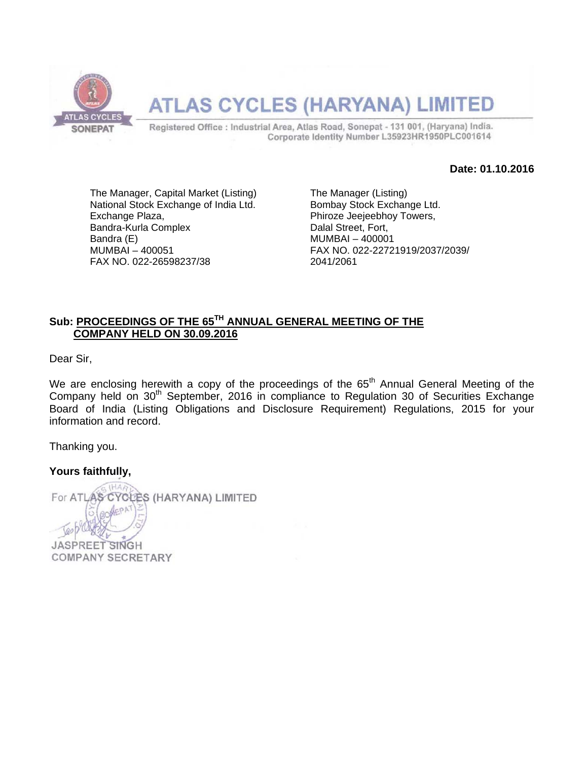

#### **ATLAS CYCLES (HARYANA) LIMI** TED

Registered Office : Industrial Area, Atlas Road, Sonepat - 131 001, (Haryana) India. Corporate Identity Number L35923HR1950PLC001614

**Date: 01.10.2016** 

The Manager, Capital Market (Listing) National Stock Exchange of India Ltd. Exchange Plaza, Bandra-Kurla Complex Bandra (E) MUMBAI – 400051 FAX NO. 022-26598237/38

The Manager (Listing) Bombay Stock Exchange Ltd. Phiroze Jeejeebhoy Towers, Dalal Street, Fort, MUMBAI – 400001 FAX NO. 022-22721919/2037/2039/ 2041/2061

#### **Sub: PROCEEDINGS OF THE 65TH ANNUAL GENERAL MEETING OF THE COMPANY HELD ON 30.09.2016**

Dear Sir,

We are enclosing herewith a copy of the proceedings of the  $65<sup>th</sup>$  Annual General Meeting of the Company held on 30<sup>th</sup> September, 2016 in compliance to Regulation 30 of Securities Exchange Board of India (Listing Obligations and Disclosure Requirement) Regulations, 2015 for your information and record.

Thanking you.

**Yours faithfully,** 

For ATLA S CYCLES (HARYANA) LIMITED **JASPREET SINGH** 

**COMPANY SECRETARY**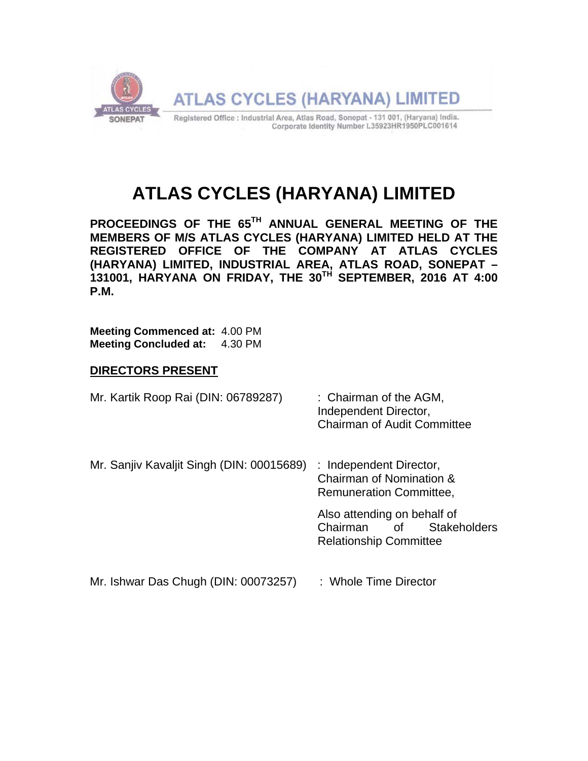

# **ATLAS CYCLES (HARYANA) LIMITED**

**PROCEEDINGS OF THE 65TH ANNUAL GENERAL MEETING OF THE MEMBERS OF M/S ATLAS CYCLES (HARYANA) LIMITED HELD AT THE REGISTERED OFFICE OF THE COMPANY AT ATLAS CYCLES (HARYANA) LIMITED, INDUSTRIAL AREA, ATLAS ROAD, SONEPAT – 131001, HARYANA ON FRIDAY, THE 30TH SEPTEMBER, 2016 AT 4:00 P.M.** 

**Meeting Commenced at:** 4.00 PM **Meeting Concluded at:** 4.30 PM

#### **DIRECTORS PRESENT**

| Mr. Kartik Roop Rai (DIN: 06789287) | : Chairman of the AGM,             |  |
|-------------------------------------|------------------------------------|--|
|                                     | Independent Director,              |  |
|                                     | <b>Chairman of Audit Committee</b> |  |

Mr. Sanjiv Kavaljit Singh (DIN: 00015689) : Independent Director, Chairman of Nomination & Remuneration Committee, Also attending on behalf of

Chairman of Stakeholders Relationship Committee

Mr. Ishwar Das Chugh (DIN: 00073257) : Whole Time Director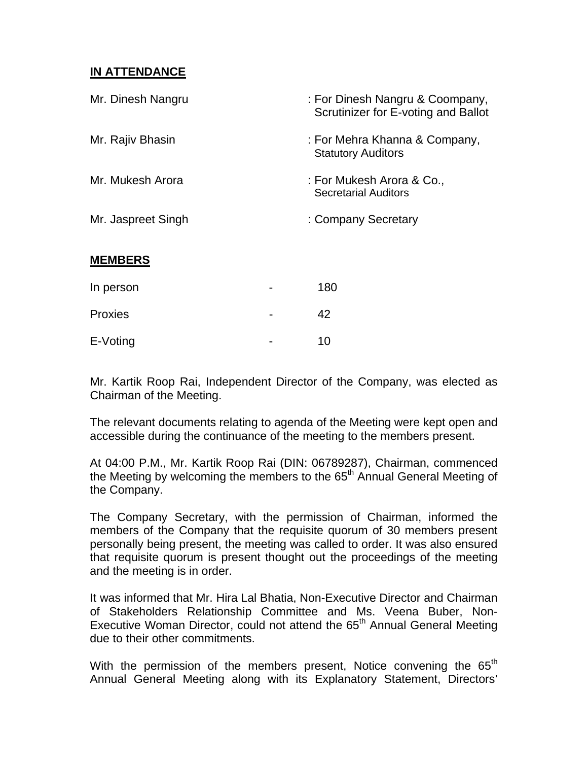#### **IN ATTENDANCE**

| Mr. Dinesh Nangru  | : For Dinesh Nangru & Coompany,<br>Scrutinizer for E-voting and Ballot |
|--------------------|------------------------------------------------------------------------|
| Mr. Rajiv Bhasin   | : For Mehra Khanna & Company,<br><b>Statutory Auditors</b>             |
| Mr. Mukesh Arora   | : For Mukesh Arora & Co.,<br><b>Secretarial Auditors</b>               |
| Mr. Jaspreet Singh | : Company Secretary                                                    |
| <b>MEMBERS</b>     |                                                                        |
| In person          | 180                                                                    |
| Proxies            | 42                                                                     |

Mr. Kartik Roop Rai, Independent Director of the Company, was elected as Chairman of the Meeting.

E-Voting 2008 - 2009

The relevant documents relating to agenda of the Meeting were kept open and accessible during the continuance of the meeting to the members present.

At 04:00 P.M., Mr. Kartik Roop Rai (DIN: 06789287), Chairman, commenced the Meeting by welcoming the members to the 65<sup>th</sup> Annual General Meeting of the Company.

The Company Secretary, with the permission of Chairman, informed the members of the Company that the requisite quorum of 30 members present personally being present, the meeting was called to order. It was also ensured that requisite quorum is present thought out the proceedings of the meeting and the meeting is in order.

It was informed that Mr. Hira Lal Bhatia, Non-Executive Director and Chairman of Stakeholders Relationship Committee and Ms. Veena Buber, Non-Executive Woman Director, could not attend the 65<sup>th</sup> Annual General Meeting due to their other commitments.

With the permission of the members present, Notice convening the  $65<sup>th</sup>$ Annual General Meeting along with its Explanatory Statement, Directors'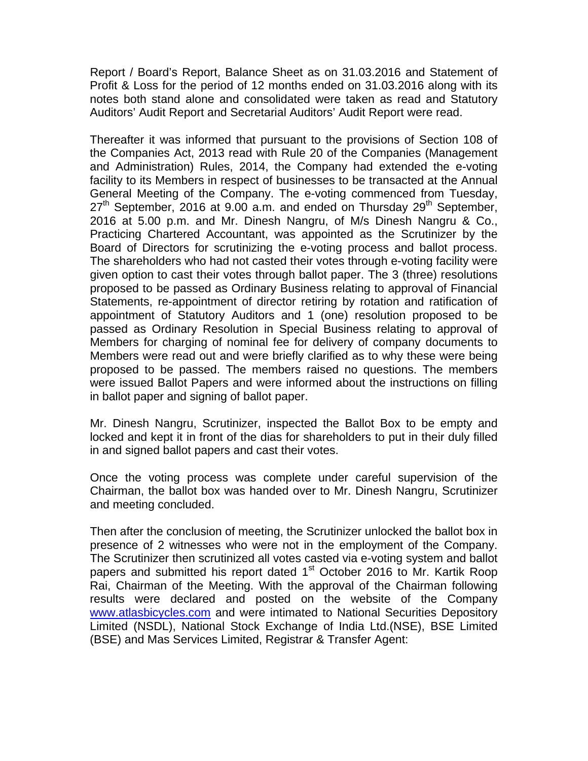Report / Board's Report, Balance Sheet as on 31.03.2016 and Statement of Profit & Loss for the period of 12 months ended on 31.03.2016 along with its notes both stand alone and consolidated were taken as read and Statutory Auditors' Audit Report and Secretarial Auditors' Audit Report were read.

Thereafter it was informed that pursuant to the provisions of Section 108 of the Companies Act, 2013 read with Rule 20 of the Companies (Management and Administration) Rules, 2014, the Company had extended the e-voting facility to its Members in respect of businesses to be transacted at the Annual General Meeting of the Company. The e-voting commenced from Tuesday,  $27<sup>th</sup>$  September, 2016 at 9.00 a.m. and ended on Thursday  $29<sup>th</sup>$  September, 2016 at 5.00 p.m. and Mr. Dinesh Nangru, of M/s Dinesh Nangru & Co., Practicing Chartered Accountant, was appointed as the Scrutinizer by the Board of Directors for scrutinizing the e-voting process and ballot process. The shareholders who had not casted their votes through e-voting facility were given option to cast their votes through ballot paper. The 3 (three) resolutions proposed to be passed as Ordinary Business relating to approval of Financial Statements, re-appointment of director retiring by rotation and ratification of appointment of Statutory Auditors and 1 (one) resolution proposed to be passed as Ordinary Resolution in Special Business relating to approval of Members for charging of nominal fee for delivery of company documents to Members were read out and were briefly clarified as to why these were being proposed to be passed. The members raised no questions. The members were issued Ballot Papers and were informed about the instructions on filling in ballot paper and signing of ballot paper.

Mr. Dinesh Nangru, Scrutinizer, inspected the Ballot Box to be empty and locked and kept it in front of the dias for shareholders to put in their duly filled in and signed ballot papers and cast their votes.

Once the voting process was complete under careful supervision of the Chairman, the ballot box was handed over to Mr. Dinesh Nangru, Scrutinizer and meeting concluded.

Then after the conclusion of meeting, the Scrutinizer unlocked the ballot box in presence of 2 witnesses who were not in the employment of the Company. The Scrutinizer then scrutinized all votes casted via e-voting system and ballot papers and submitted his report dated  $1<sup>st</sup>$  October 2016 to Mr. Kartik Roop Rai, Chairman of the Meeting. With the approval of the Chairman following results were declared and posted on the website of the Company www.atlasbicycles.com and were intimated to National Securities Depository Limited (NSDL), National Stock Exchange of India Ltd.(NSE), BSE Limited (BSE) and Mas Services Limited, Registrar & Transfer Agent: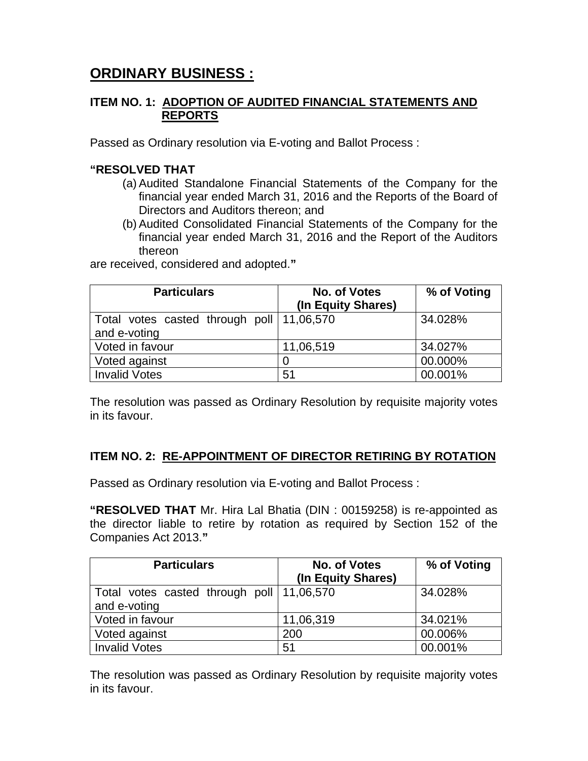## **ORDINARY BUSINESS :**

#### **ITEM NO. 1: ADOPTION OF AUDITED FINANCIAL STATEMENTS AND REPORTS**

Passed as Ordinary resolution via E-voting and Ballot Process :

#### **"RESOLVED THAT**

- (a) Audited Standalone Financial Statements of the Company for the financial year ended March 31, 2016 and the Reports of the Board of Directors and Auditors thereon; and
- (b) Audited Consolidated Financial Statements of the Company for the financial year ended March 31, 2016 and the Report of the Auditors thereon

are received, considered and adopted.**"** 

| <b>Particulars</b>                        | <b>No. of Votes</b> | % of Voting |
|-------------------------------------------|---------------------|-------------|
|                                           | (In Equity Shares)  |             |
| Total votes casted through poll 11,06,570 |                     | 34.028%     |
| and e-voting                              |                     |             |
| Voted in favour                           | 11,06,519           | 34.027%     |
| Voted against                             |                     | 00.000%     |
| <b>Invalid Votes</b>                      | 51                  | 00.001%     |

The resolution was passed as Ordinary Resolution by requisite majority votes in its favour.

#### **ITEM NO. 2: RE-APPOINTMENT OF DIRECTOR RETIRING BY ROTATION**

Passed as Ordinary resolution via E-voting and Ballot Process :

**"RESOLVED THAT** Mr. Hira Lal Bhatia (DIN : 00159258) is re-appointed as the director liable to retire by rotation as required by Section 152 of the Companies Act 2013.**"** 

| <b>Particulars</b>                          | No. of Votes<br>(In Equity Shares) | % of Voting |
|---------------------------------------------|------------------------------------|-------------|
| Total votes casted through poll   11,06,570 |                                    | 34.028%     |
| and e-voting                                |                                    |             |
| Voted in favour                             | 11,06,319                          | 34.021%     |
| Voted against                               | 200                                | 00.006%     |
| <b>Invalid Votes</b>                        | 51                                 | 00.001%     |

The resolution was passed as Ordinary Resolution by requisite majority votes in its favour.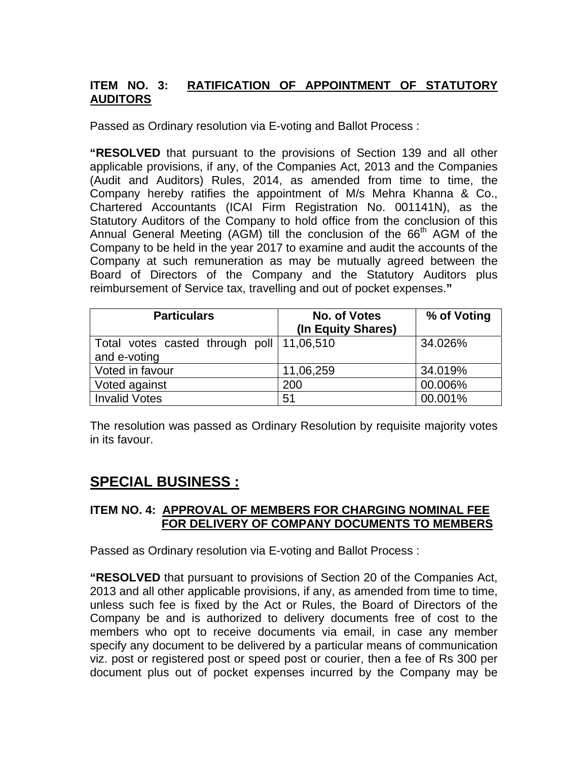### **ITEM NO. 3: RATIFICATION OF APPOINTMENT OF STATUTORY AUDITORS**

Passed as Ordinary resolution via E-voting and Ballot Process :

**"RESOLVED** that pursuant to the provisions of Section 139 and all other applicable provisions, if any, of the Companies Act, 2013 and the Companies (Audit and Auditors) Rules, 2014, as amended from time to time, the Company hereby ratifies the appointment of M/s Mehra Khanna & Co., Chartered Accountants (ICAI Firm Registration No. 001141N), as the Statutory Auditors of the Company to hold office from the conclusion of this Annual General Meeting (AGM) till the conclusion of the 66<sup>th</sup> AGM of the Company to be held in the year 2017 to examine and audit the accounts of the Company at such remuneration as may be mutually agreed between the Board of Directors of the Company and the Statutory Auditors plus reimbursement of Service tax, travelling and out of pocket expenses.**"** 

| <b>Particulars</b>                        | No. of Votes       | % of Voting |
|-------------------------------------------|--------------------|-------------|
|                                           | (In Equity Shares) |             |
| Total votes casted through poll 11,06,510 |                    | 34.026%     |
| and e-voting                              |                    |             |
| Voted in favour                           | 11,06,259          | 34.019%     |
| Voted against                             | 200                | 00.006%     |
| <b>Invalid Votes</b>                      | 51                 | 00.001%     |

The resolution was passed as Ordinary Resolution by requisite majority votes in its favour.

## **SPECIAL BUSINESS :**

#### **ITEM NO. 4: APPROVAL OF MEMBERS FOR CHARGING NOMINAL FEE FOR DELIVERY OF COMPANY DOCUMENTS TO MEMBERS**

Passed as Ordinary resolution via E-voting and Ballot Process :

**"RESOLVED** that pursuant to provisions of Section 20 of the Companies Act, 2013 and all other applicable provisions, if any, as amended from time to time, unless such fee is fixed by the Act or Rules, the Board of Directors of the Company be and is authorized to delivery documents free of cost to the members who opt to receive documents via email, in case any member specify any document to be delivered by a particular means of communication viz. post or registered post or speed post or courier, then a fee of Rs 300 per document plus out of pocket expenses incurred by the Company may be